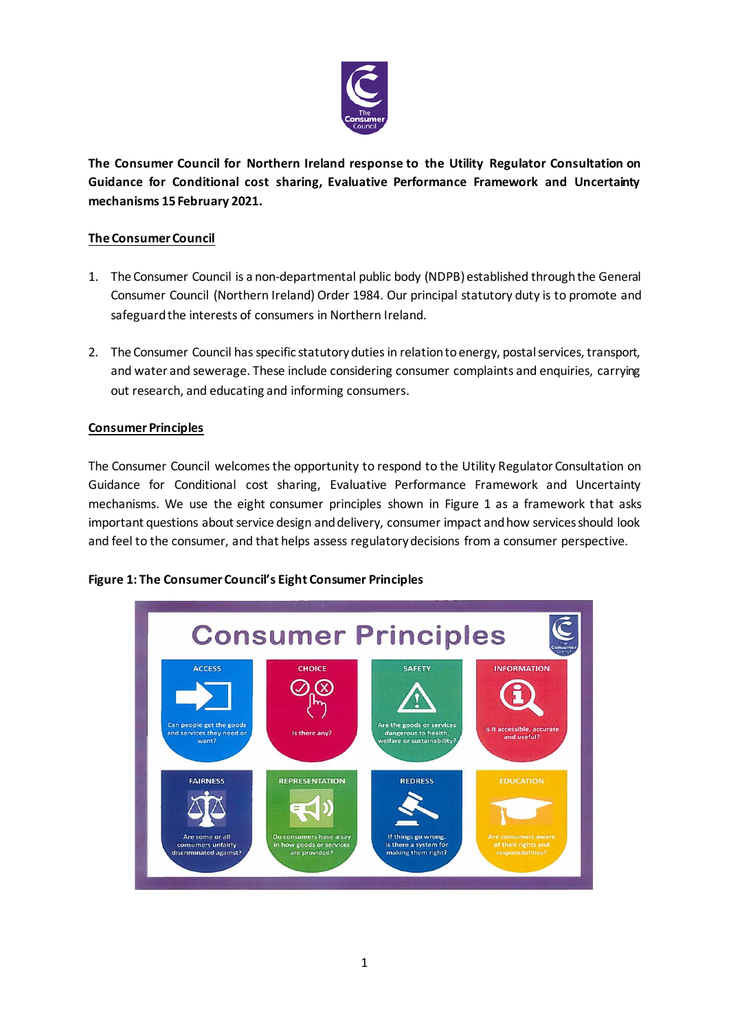

**The Consumer Council for Northern Ireland response to the Utility Regulator Consultation on Guidance for Conditional cost sharing, Evaluative Performance Framework and Uncertainty mechanisms 15 February 2021.**

## **The Consumer Council**

- 1. The Consumer Council is a non-departmental public body (NDPB) established through the General Consumer Council (Northern Ireland) Order 1984. Our principal statutory duty is to promote and safeguard the interests of consumers in Northern Ireland.
- 2. The Consumer Council has specific statutory duties in relation to energy, postal services, transport, and water and sewerage. These include considering consumer complaints and enquiries, carrying out research, and educating and informing consumers.

## **Consumer Principles**

The Consumer Council welcomes the opportunity to respond to the Utility Regulator Consultation on Guidance for Conditional cost sharing, Evaluative Performance Framework and Uncertainty mechanisms. We use the eight consumer principles shown in Figure 1 as a framework that asks important questions about service design and delivery, consumer impact and how services should look and feel to the consumer, and that helps assess regulatory decisions from a consumer perspective.

## **Figure 1: The Consumer Council's Eight Consumer Principles**

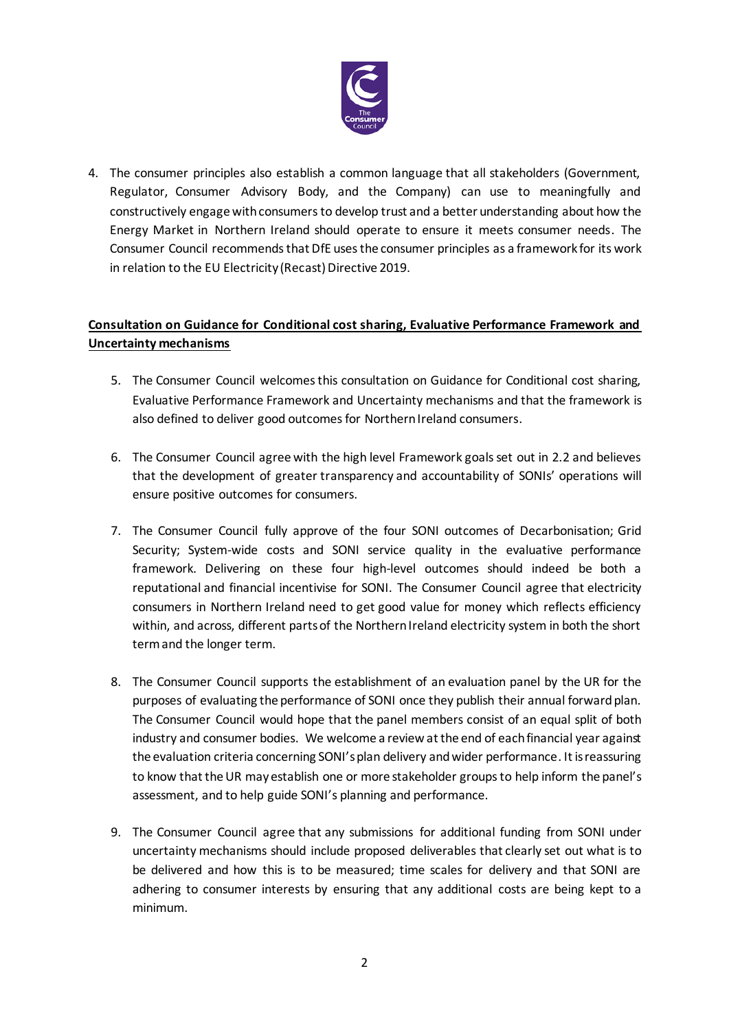

4. The consumer principles also establish a common language that all stakeholders (Government, Regulator, Consumer Advisory Body, and the Company) can use to meaningfully and constructively engage with consumers to develop trust and a better understanding about how the Energy Market in Northern Ireland should operate to ensure it meets consumer needs. The Consumer Council recommends that DfE uses the consumer principles as a framework for its work in relation to the EU Electricity (Recast) Directive 2019.

## **Consultation on Guidance for Conditional cost sharing, Evaluative Performance Framework and Uncertainty mechanisms**

- 5. The Consumer Council welcomes this consultation on Guidance for Conditional cost sharing, Evaluative Performance Framework and Uncertainty mechanisms and that the framework is also defined to deliver good outcomes for Northern Ireland consumers.
- 6. The Consumer Council agree with the high level Framework goals set out in 2.2 and believes that the development of greater transparency and accountability of SONIs' operations will ensure positive outcomes for consumers.
- 7. The Consumer Council fully approve of the four SONI outcomes of Decarbonisation; Grid Security; System-wide costs and SONI service quality in the evaluative performance framework. Delivering on these four high-level outcomes should indeed be both a reputational and financial incentivise for SONI. The Consumer Council agree that electricity consumers in Northern Ireland need to get good value for money which reflects efficiency within, and across, different parts of the Northern Ireland electricity system in both the short term and the longer term.
- 8. The Consumer Council supports the establishment of an evaluation panel by the UR for the purposes of evaluating the performance of SONI once they publish their annual forward plan. The Consumer Council would hope that the panel members consist of an equal split of both industry and consumer bodies. We welcome a review atthe end of each financial year against the evaluation criteria concerning SONI's plan delivery and wider performance. It is reassuring to know that the UR may establish one or more stakeholder groups to help inform the panel's assessment, and to help guide SONI's planning and performance.
- 9. The Consumer Council agree that any submissions for additional funding from SONI under uncertainty mechanisms should include proposed deliverables that clearly set out what is to be delivered and how this is to be measured; time scales for delivery and that SONI are adhering to consumer interests by ensuring that any additional costs are being kept to a minimum.